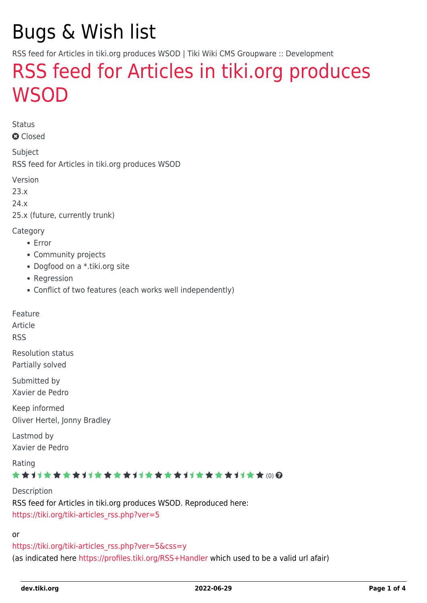# Bugs & Wish list

RSS feed for Articles in tiki.org produces WSOD | Tiki Wiki CMS Groupware :: Development

## [RSS feed for Articles in tiki.org produces](https://dev.tiki.org/item8021-RSS-feed-for-Articles-in-tiki-org-produces-WSOD) **[WSOD](https://dev.tiki.org/item8021-RSS-feed-for-Articles-in-tiki-org-produces-WSOD)**

Status

**O** Closed

Subject

RSS feed for Articles in tiki.org produces WSOD

Version

23.x

24.x

25.x (future, currently trunk)

Category

- Error
- Community projects
- Dogfood on a \*.tiki.org site
- Regression
- Conflict of two features (each works well independently)

Feature

Article

RSS

Resolution status Partially solved

Submitted by Xavier de Pedro

Keep informed Oliver Hertel, Jonny Bradley

Lastmod by Xavier de Pedro

Rating

#### ★★11★★★★11★★★★11★★★★11★★★★+11★★ (0) @

Description RSS feed for Articles in tiki.org produces WSOD. Reproduced here: [https://tiki.org/tiki-articles\\_rss.php?ver=5](https://tiki.org/tiki-articles_rss.php?ver=5)

or

[https://tiki.org/tiki-articles\\_rss.php?ver=5&css=y](https://tiki.org/tiki-articles_rss.php?ver=5&css=y) (as indicated here <https://profiles.tiki.org/RSS+Handler>which used to be a valid url afair)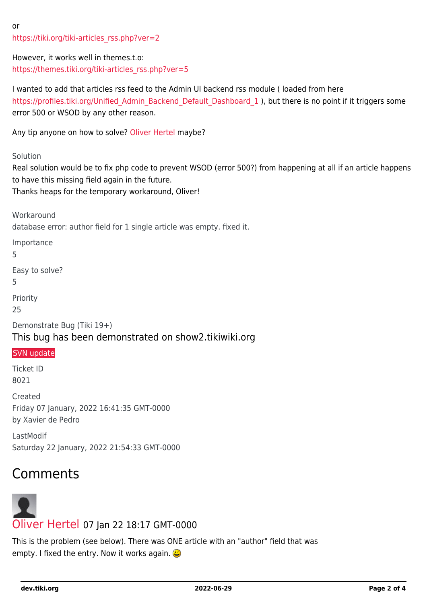or [https://tiki.org/tiki-articles\\_rss.php?ver=2](https://tiki.org/tiki-articles_rss.php?ver=2)

However, it works well in themes.t.o: [https://themes.tiki.org/tiki-articles\\_rss.php?ver=5](https://themes.tiki.org/tiki-articles_rss.php?ver=5)

I wanted to add that articles rss feed to the Admin UI backend rss module ( loaded from here https://profiles.tiki.org/Unified Admin Backend Default Dashboard 1), but there is no point if it triggers some error 500 or WSOD by any other reason.

Any tip anyone on how to solve? [Oliver Hertel](https://dev.tiki.org/user3) maybe?

Solution

Real solution would be to fix php code to prevent WSOD (error 500?) from happening at all if an article happens to have this missing field again in the future.

Thanks heaps for the temporary workaround, Oliver!

Workaround

database error: author field for 1 single article was empty. fixed it.

Importance

5

Easy to solve?

5

Priority

25

Demonstrate Bug (Tiki 19+)

#### This bug has been demonstrated on show2.tikiwiki.org

#### [SVN update](#page--1-0)

Ticket ID 8021

Created Friday 07 January, 2022 16:41:35 GMT-0000 by Xavier de Pedro

LastModif Saturday 22 January, 2022 21:54:33 GMT-0000

## Comments



This is the problem (see below). There was ONE article with an "author" field that was empty. I fixed the entry. Now it works again.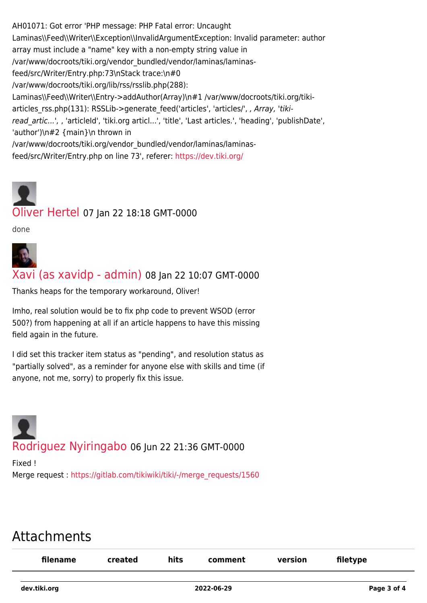AH01071: Got error 'PHP message: PHP Fatal error: Uncaught Laminas\\Feed\\Writer\\Exception\\InvalidArgumentException: Invalid parameter: author array must include a "name" key with a non-empty string value in /var/www/docroots/tiki.org/vendor\_bundled/vendor/laminas/laminasfeed/src/Writer/Entry.php:73\nStack trace:\n#0 /var/www/docroots/tiki.org/lib/rss/rsslib.php(288): Laminas\\Feed\\Writer\\Entry->addAuthor(Array)\n#1 /var/www/docroots/tiki.org/tikiarticles\_rss.php(131): RSSLib->generate\_feed('articles', 'articles/', , Array, 'tikiread\_artic...',,'articleId','tiki.org articl...','title','Last articles.','heading','publishDate', 'author')\n#2 {main}\n thrown in /var/www/docroots/tiki.org/vendor\_bundled/vendor/laminas/laminasfeed/src/Writer/Entry.php on line 73', referer:<https://dev.tiki.org/>

[Oliver Hertel](https://dev.tiki.org/user3) 07 Jan 22 18:18 GMT-0000

done



#### [Xavi \(as xavidp - admin\)](https://dev.tiki.org/user1553) 08 Jan 22 10:07 GMT-0000

Thanks heaps for the temporary workaround, Oliver!

Imho, real solution would be to fix php code to prevent WSOD (error 500?) from happening at all if an article happens to have this missing field again in the future.

I did set this tracker item status as "pending", and resolution status as "partially solved", as a reminder for anyone else with skills and time (if anyone, not me, sorry) to properly fix this issue.

# [Rodriguez Nyiringabo](https://dev.tiki.org/user12047) 06 Jun 22 21:36 GMT-0000

Fixed ! Merge request : [https://gitlab.com/tikiwiki/tiki/-/merge\\_requests/1560](https://gitlab.com/tikiwiki/tiki/-/merge_requests/1560)

## Attachments

| filename     | created    | hits | comment | version | filetype    |
|--------------|------------|------|---------|---------|-------------|
| dev.tiki.org | 2022-06-29 |      |         |         | Page 3 of 4 |